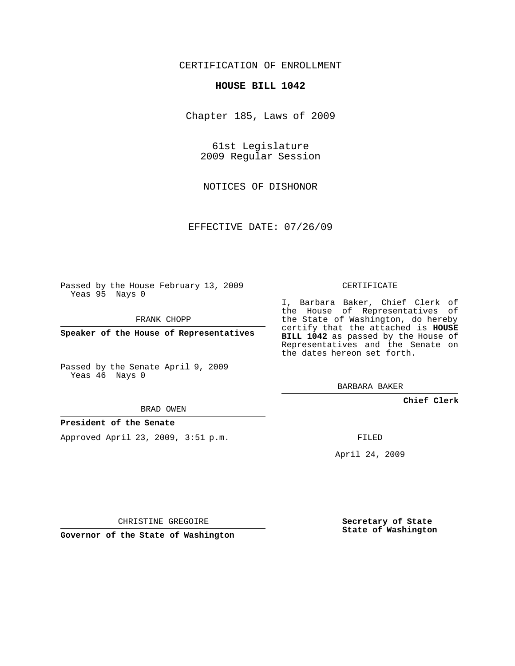# CERTIFICATION OF ENROLLMENT

#### **HOUSE BILL 1042**

Chapter 185, Laws of 2009

61st Legislature 2009 Regular Session

NOTICES OF DISHONOR

EFFECTIVE DATE: 07/26/09

Passed by the House February 13, 2009 Yeas 95 Nays 0

FRANK CHOPP

**Speaker of the House of Representatives**

Passed by the Senate April 9, 2009 Yeas 46 Nays 0

BRAD OWEN

### **President of the Senate**

Approved April 23, 2009, 3:51 p.m.

CERTIFICATE

I, Barbara Baker, Chief Clerk of the House of Representatives of the State of Washington, do hereby certify that the attached is **HOUSE BILL 1042** as passed by the House of Representatives and the Senate on the dates hereon set forth.

BARBARA BAKER

**Chief Clerk**

FILED

April 24, 2009

CHRISTINE GREGOIRE

**Governor of the State of Washington**

**Secretary of State State of Washington**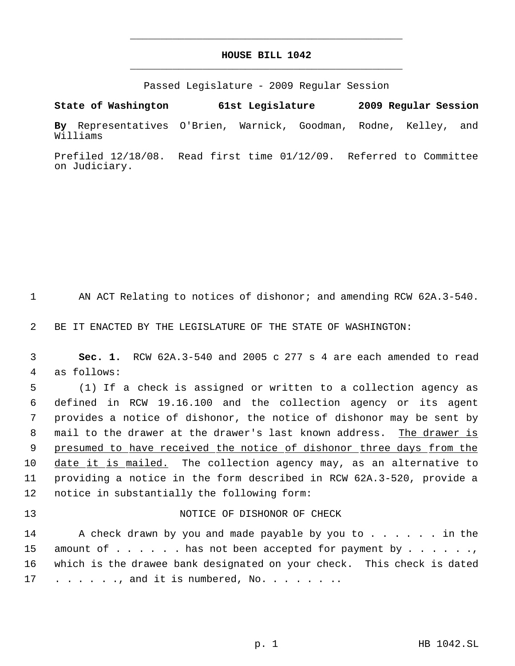# **HOUSE BILL 1042** \_\_\_\_\_\_\_\_\_\_\_\_\_\_\_\_\_\_\_\_\_\_\_\_\_\_\_\_\_\_\_\_\_\_\_\_\_\_\_\_\_\_\_\_\_

\_\_\_\_\_\_\_\_\_\_\_\_\_\_\_\_\_\_\_\_\_\_\_\_\_\_\_\_\_\_\_\_\_\_\_\_\_\_\_\_\_\_\_\_\_

Passed Legislature - 2009 Regular Session

**State of Washington 61st Legislature 2009 Regular Session By** Representatives O'Brien, Warnick, Goodman, Rodne, Kelley, and Williams

Prefiled 12/18/08. Read first time 01/12/09. Referred to Committee on Judiciary.

1 AN ACT Relating to notices of dishonor; and amending RCW 62A.3-540.

2 BE IT ENACTED BY THE LEGISLATURE OF THE STATE OF WASHINGTON:

 3 **Sec. 1.** RCW 62A.3-540 and 2005 c 277 s 4 are each amended to read 4 as follows:

 (1) If a check is assigned or written to a collection agency as defined in RCW 19.16.100 and the collection agency or its agent provides a notice of dishonor, the notice of dishonor may be sent by mail to the drawer at the drawer's last known address. The drawer is 9 presumed to have received the notice of dishonor three days from the 10 date it is mailed. The collection agency may, as an alternative to providing a notice in the form described in RCW 62A.3-520, provide a notice in substantially the following form:

# 13 NOTICE OF DISHONOR OF CHECK

14 A check drawn by you and made payable by you to . . . . . . in the 15 amount of . . . . . has not been accepted for payment by . . . . . ., 16 which is the drawee bank designated on your check. This check is dated 17 . . . . . ., and it is numbered, No. . . . . . . .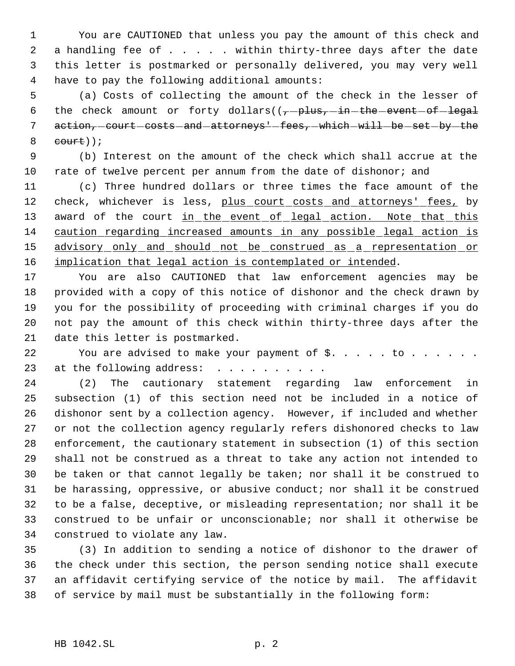You are CAUTIONED that unless you pay the amount of this check and 2 a handling fee of . . . . within thirty-three days after the date this letter is postmarked or personally delivered, you may very well have to pay the following additional amounts:

 (a) Costs of collecting the amount of the check in the lesser of 6 the check amount or forty dollars( $(-$ -plus, in the event of legal 7 action, court costs and attorneys' fees, which will be set by the eourt));

 (b) Interest on the amount of the check which shall accrue at the rate of twelve percent per annum from the date of dishonor; and

 (c) Three hundred dollars or three times the face amount of the 12 check, whichever is less, plus court costs and attorneys' fees, by 13 award of the court in the event of legal action. Note that this caution regarding increased amounts in any possible legal action is 15 advisory only and should not be construed as a representation or 16 implication that legal action is contemplated or intended.

 You are also CAUTIONED that law enforcement agencies may be provided with a copy of this notice of dishonor and the check drawn by you for the possibility of proceeding with criminal charges if you do not pay the amount of this check within thirty-three days after the date this letter is postmarked.

22 You are advised to make your payment of \$. . . . to . . . . . . 23 at the following address: . . . . . . .

 (2) The cautionary statement regarding law enforcement in subsection (1) of this section need not be included in a notice of dishonor sent by a collection agency. However, if included and whether or not the collection agency regularly refers dishonored checks to law enforcement, the cautionary statement in subsection (1) of this section shall not be construed as a threat to take any action not intended to be taken or that cannot legally be taken; nor shall it be construed to be harassing, oppressive, or abusive conduct; nor shall it be construed to be a false, deceptive, or misleading representation; nor shall it be construed to be unfair or unconscionable; nor shall it otherwise be construed to violate any law.

 (3) In addition to sending a notice of dishonor to the drawer of the check under this section, the person sending notice shall execute an affidavit certifying service of the notice by mail. The affidavit of service by mail must be substantially in the following form: